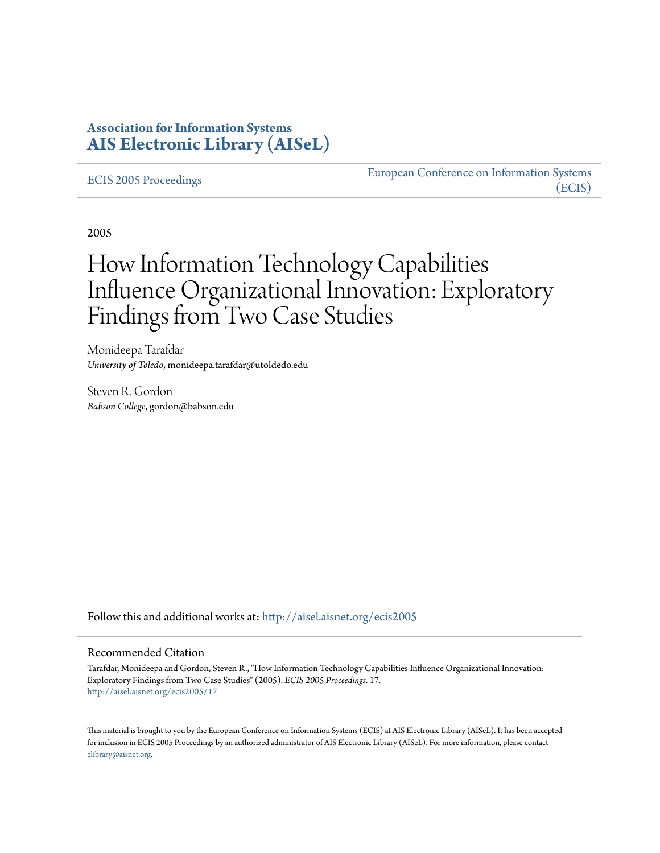## **Association for Information Systems [AIS Electronic Library \(AISeL\)](http://aisel.aisnet.org?utm_source=aisel.aisnet.org%2Fecis2005%2F17&utm_medium=PDF&utm_campaign=PDFCoverPages)**

[ECIS 2005 Proceedings](http://aisel.aisnet.org/ecis2005?utm_source=aisel.aisnet.org%2Fecis2005%2F17&utm_medium=PDF&utm_campaign=PDFCoverPages)

[European Conference on Information Systems](http://aisel.aisnet.org/ecis?utm_source=aisel.aisnet.org%2Fecis2005%2F17&utm_medium=PDF&utm_campaign=PDFCoverPages) [\(ECIS\)](http://aisel.aisnet.org/ecis?utm_source=aisel.aisnet.org%2Fecis2005%2F17&utm_medium=PDF&utm_campaign=PDFCoverPages)

2005

# How Information Technology Capabilities Influence Organizational Innovation: Exploratory Findings from Two Case Studies

Monideepa Tarafdar *University of Toledo*, monideepa.tarafdar@utoldedo.edu

Steven R. Gordon *Babson College*, gordon@babson.edu

Follow this and additional works at: [http://aisel.aisnet.org/ecis2005](http://aisel.aisnet.org/ecis2005?utm_source=aisel.aisnet.org%2Fecis2005%2F17&utm_medium=PDF&utm_campaign=PDFCoverPages)

#### Recommended Citation

Tarafdar, Monideepa and Gordon, Steven R., "How Information Technology Capabilities Influence Organizational Innovation: Exploratory Findings from Two Case Studies" (2005). *ECIS 2005 Proceedings*. 17. [http://aisel.aisnet.org/ecis2005/17](http://aisel.aisnet.org/ecis2005/17?utm_source=aisel.aisnet.org%2Fecis2005%2F17&utm_medium=PDF&utm_campaign=PDFCoverPages)

This material is brought to you by the European Conference on Information Systems (ECIS) at AIS Electronic Library (AISeL). It has been accepted for inclusion in ECIS 2005 Proceedings by an authorized administrator of AIS Electronic Library (AISeL). For more information, please contact [elibrary@aisnet.org.](mailto:elibrary@aisnet.org%3E)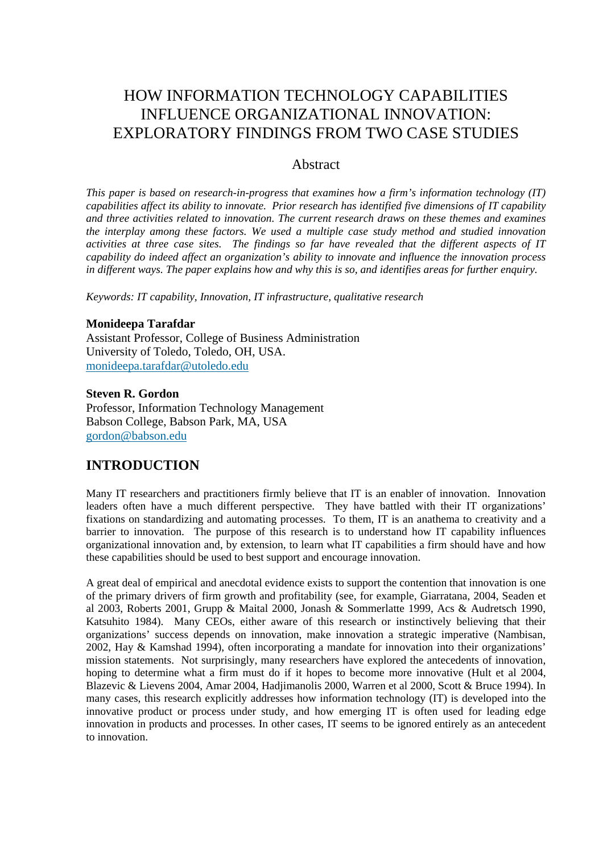## HOW INFORMATION TECHNOLOGY CAPABILITIES INFLUENCE ORGANIZATIONAL INNOVATION: EXPLORATORY FINDINGS FROM TWO CASE STUDIES

### **Abstract**

*This paper is based on research-in-progress that examines how a firm's information technology (IT) capabilities affect its ability to innovate. Prior research has identified five dimensions of IT capability and three activities related to innovation. The current research draws on these themes and examines the interplay among these factors. We used a multiple case study method and studied innovation activities at three case sites. The findings so far have revealed that the different aspects of IT capability do indeed affect an organization's ability to innovate and influence the innovation process in different ways. The paper explains how and why this is so, and identifies areas for further enquiry.* 

*Keywords: IT capability, Innovation, IT infrastructure, qualitative research* 

#### **Monideepa Tarafdar**

Assistant Professor, College of Business Administration University of Toledo, Toledo, OH, USA. monideepa.tarafdar@utoledo.edu

#### **Steven R. Gordon**

Professor, Information Technology Management Babson College, Babson Park, MA, USA gordon@babson.edu

## **INTRODUCTION**

Many IT researchers and practitioners firmly believe that IT is an enabler of innovation. Innovation leaders often have a much different perspective. They have battled with their IT organizations' fixations on standardizing and automating processes. To them, IT is an anathema to creativity and a barrier to innovation. The purpose of this research is to understand how IT capability influences organizational innovation and, by extension, to learn what IT capabilities a firm should have and how these capabilities should be used to best support and encourage innovation.

A great deal of empirical and anecdotal evidence exists to support the contention that innovation is one of the primary drivers of firm growth and profitability (see, for example, Giarratana, 2004, Seaden et al 2003, Roberts 2001, Grupp & Maital 2000, Jonash & Sommerlatte 1999, Acs & Audretsch 1990, Katsuhito 1984). Many CEOs, either aware of this research or instinctively believing that their organizations' success depends on innovation, make innovation a strategic imperative (Nambisan, 2002, Hay & Kamshad 1994), often incorporating a mandate for innovation into their organizations' mission statements. Not surprisingly, many researchers have explored the antecedents of innovation, hoping to determine what a firm must do if it hopes to become more innovative (Hult et al 2004, Blazevic & Lievens 2004, Amar 2004, Hadjimanolis 2000, Warren et al 2000, Scott & Bruce 1994). In many cases, this research explicitly addresses how information technology (IT) is developed into the innovative product or process under study, and how emerging IT is often used for leading edge innovation in products and processes. In other cases, IT seems to be ignored entirely as an antecedent to innovation.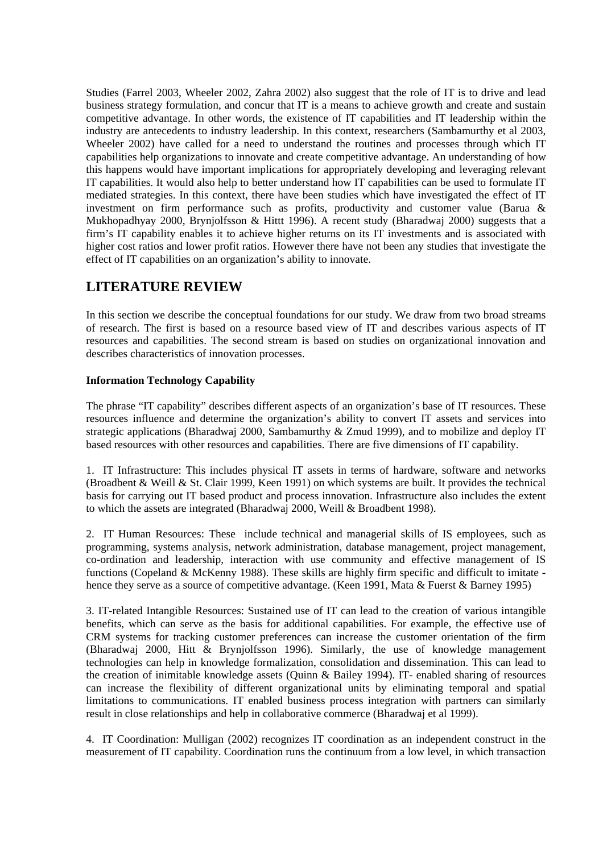Studies (Farrel 2003, Wheeler 2002, Zahra 2002) also suggest that the role of IT is to drive and lead business strategy formulation, and concur that IT is a means to achieve growth and create and sustain competitive advantage. In other words, the existence of IT capabilities and IT leadership within the industry are antecedents to industry leadership. In this context, researchers (Sambamurthy et al 2003, Wheeler 2002) have called for a need to understand the routines and processes through which IT capabilities help organizations to innovate and create competitive advantage. An understanding of how this happens would have important implications for appropriately developing and leveraging relevant IT capabilities. It would also help to better understand how IT capabilities can be used to formulate IT mediated strategies. In this context, there have been studies which have investigated the effect of IT investment on firm performance such as profits, productivity and customer value (Barua & Mukhopadhyay 2000, Brynjolfsson & Hittt 1996). A recent study (Bharadwaj 2000) suggests that a firm's IT capability enables it to achieve higher returns on its IT investments and is associated with higher cost ratios and lower profit ratios. However there have not been any studies that investigate the effect of IT capabilities on an organization's ability to innovate.

## **LITERATURE REVIEW**

In this section we describe the conceptual foundations for our study. We draw from two broad streams of research. The first is based on a resource based view of IT and describes various aspects of IT resources and capabilities. The second stream is based on studies on organizational innovation and describes characteristics of innovation processes.

#### **Information Technology Capability**

The phrase "IT capability" describes different aspects of an organization's base of IT resources. These resources influence and determine the organization's ability to convert IT assets and services into strategic applications (Bharadwaj 2000, Sambamurthy & Zmud 1999), and to mobilize and deploy IT based resources with other resources and capabilities. There are five dimensions of IT capability.

1. IT Infrastructure: This includes physical IT assets in terms of hardware, software and networks (Broadbent & Weill & St. Clair 1999, Keen 1991) on which systems are built. It provides the technical basis for carrying out IT based product and process innovation. Infrastructure also includes the extent to which the assets are integrated (Bharadwaj 2000, Weill & Broadbent 1998).

2. IT Human Resources: These include technical and managerial skills of IS employees, such as programming, systems analysis, network administration, database management, project management, co-ordination and leadership, interaction with use community and effective management of IS functions (Copeland & McKenny 1988). These skills are highly firm specific and difficult to imitate hence they serve as a source of competitive advantage. (Keen 1991, Mata & Fuerst & Barney 1995)

3. IT-related Intangible Resources: Sustained use of IT can lead to the creation of various intangible benefits, which can serve as the basis for additional capabilities. For example, the effective use of CRM systems for tracking customer preferences can increase the customer orientation of the firm (Bharadwaj 2000, Hitt & Brynjolfsson 1996). Similarly, the use of knowledge management technologies can help in knowledge formalization, consolidation and dissemination. This can lead to the creation of inimitable knowledge assets (Quinn & Bailey 1994). IT- enabled sharing of resources can increase the flexibility of different organizational units by eliminating temporal and spatial limitations to communications. IT enabled business process integration with partners can similarly result in close relationships and help in collaborative commerce (Bharadwaj et al 1999).

4. IT Coordination: Mulligan (2002) recognizes IT coordination as an independent construct in the measurement of IT capability. Coordination runs the continuum from a low level, in which transaction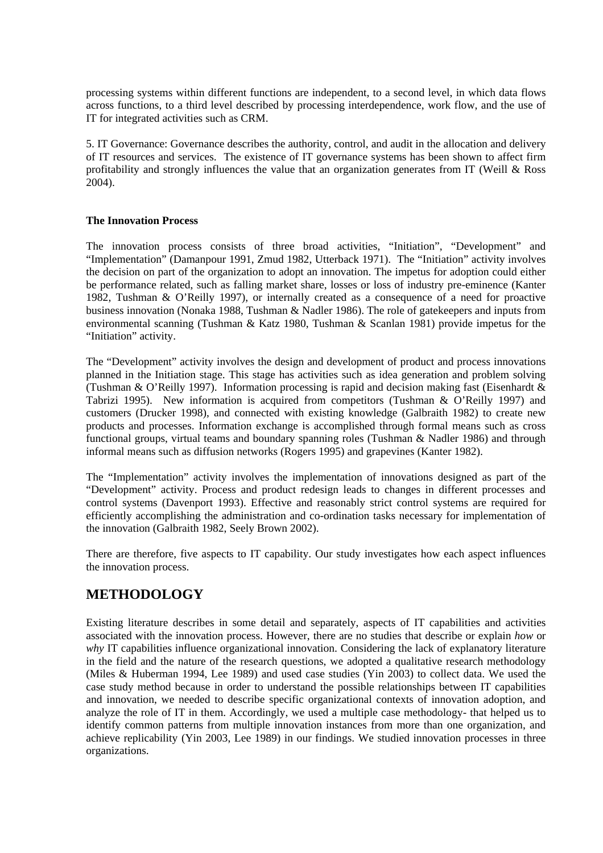processing systems within different functions are independent, to a second level, in which data flows across functions, to a third level described by processing interdependence, work flow, and the use of IT for integrated activities such as CRM.

5. IT Governance: Governance describes the authority, control, and audit in the allocation and delivery of IT resources and services. The existence of IT governance systems has been shown to affect firm profitability and strongly influences the value that an organization generates from IT (Weill & Ross 2004).

#### **The Innovation Process**

The innovation process consists of three broad activities, "Initiation", "Development" and "Implementation" (Damanpour 1991, Zmud 1982, Utterback 1971). The "Initiation" activity involves the decision on part of the organization to adopt an innovation. The impetus for adoption could either be performance related, such as falling market share, losses or loss of industry pre-eminence (Kanter 1982, Tushman & O'Reilly 1997), or internally created as a consequence of a need for proactive business innovation (Nonaka 1988, Tushman & Nadler 1986). The role of gatekeepers and inputs from environmental scanning (Tushman & Katz 1980, Tushman & Scanlan 1981) provide impetus for the "Initiation" activity.

The "Development" activity involves the design and development of product and process innovations planned in the Initiation stage. This stage has activities such as idea generation and problem solving (Tushman & O'Reilly 1997). Information processing is rapid and decision making fast (Eisenhardt  $\&$ Tabrizi 1995). New information is acquired from competitors (Tushman & O'Reilly 1997) and customers (Drucker 1998), and connected with existing knowledge (Galbraith 1982) to create new products and processes. Information exchange is accomplished through formal means such as cross functional groups, virtual teams and boundary spanning roles (Tushman & Nadler 1986) and through informal means such as diffusion networks (Rogers 1995) and grapevines (Kanter 1982).

The "Implementation" activity involves the implementation of innovations designed as part of the "Development" activity. Process and product redesign leads to changes in different processes and control systems (Davenport 1993). Effective and reasonably strict control systems are required for efficiently accomplishing the administration and co-ordination tasks necessary for implementation of the innovation (Galbraith 1982, Seely Brown 2002).

There are therefore, five aspects to IT capability. Our study investigates how each aspect influences the innovation process.

## **METHODOLOGY**

Existing literature describes in some detail and separately, aspects of IT capabilities and activities associated with the innovation process. However, there are no studies that describe or explain *how* or *why* IT capabilities influence organizational innovation. Considering the lack of explanatory literature in the field and the nature of the research questions, we adopted a qualitative research methodology (Miles & Huberman 1994, Lee 1989) and used case studies (Yin 2003) to collect data. We used the case study method because in order to understand the possible relationships between IT capabilities and innovation, we needed to describe specific organizational contexts of innovation adoption, and analyze the role of IT in them. Accordingly, we used a multiple case methodology- that helped us to identify common patterns from multiple innovation instances from more than one organization, and achieve replicability (Yin 2003, Lee 1989) in our findings. We studied innovation processes in three organizations.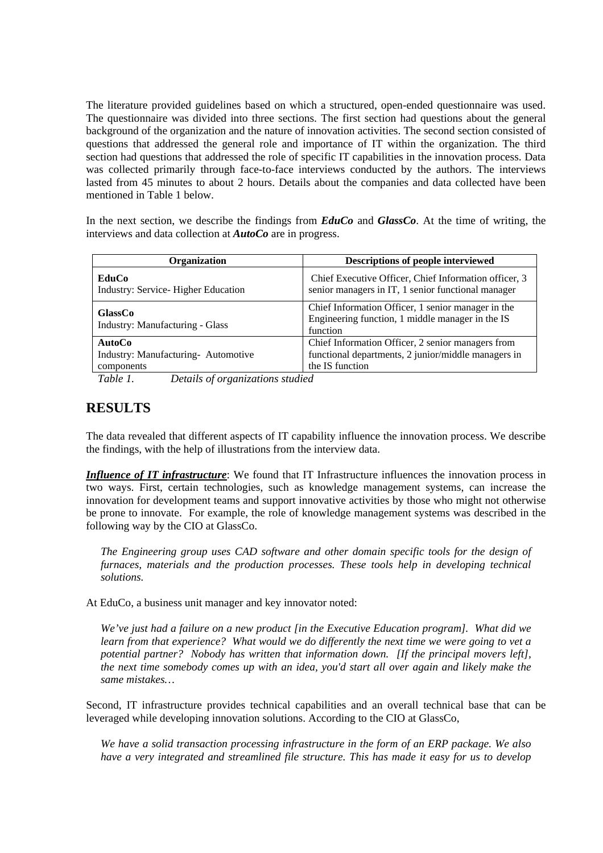The literature provided guidelines based on which a structured, open-ended questionnaire was used. The questionnaire was divided into three sections. The first section had questions about the general background of the organization and the nature of innovation activities. The second section consisted of questions that addressed the general role and importance of IT within the organization. The third section had questions that addressed the role of specific IT capabilities in the innovation process. Data was collected primarily through face-to-face interviews conducted by the authors. The interviews lasted from 45 minutes to about 2 hours. Details about the companies and data collected have been mentioned in Table 1 below.

In the next section, we describe the findings from *EduCo* and *GlassCo*. At the time of writing, the interviews and data collection at *AutoCo* are in progress.

| Organization                                             | <b>Descriptions of people interviewed</b>                                                                          |
|----------------------------------------------------------|--------------------------------------------------------------------------------------------------------------------|
| EduCo<br>Industry: Service-Higher Education              | Chief Executive Officer, Chief Information officer, 3<br>senior managers in IT, 1 senior functional manager        |
| <b>GlassCo</b><br><b>Industry: Manufacturing - Glass</b> | Chief Information Officer, 1 senior manager in the<br>Engineering function, 1 middle manager in the IS<br>function |
| <b>AutoCo</b>                                            | Chief Information Officer, 2 senior managers from                                                                  |
| Industry: Manufacturing- Automotive                      | functional departments, 2 junior/middle managers in                                                                |
| components                                               | the IS function                                                                                                    |

*Table 1. Details of organizations studied* 

## **RESULTS**

The data revealed that different aspects of IT capability influence the innovation process. We describe the findings, with the help of illustrations from the interview data.

*Influence of IT infrastructure*: We found that IT Infrastructure influences the innovation process in two ways. First, certain technologies, such as knowledge management systems, can increase the innovation for development teams and support innovative activities by those who might not otherwise be prone to innovate. For example, the role of knowledge management systems was described in the following way by the CIO at GlassCo.

*The Engineering group uses CAD software and other domain specific tools for the design of furnaces, materials and the production processes. These tools help in developing technical solutions.* 

At EduCo, a business unit manager and key innovator noted:

*We've just had a failure on a new product [in the Executive Education program]. What did we learn from that experience? What would we do differently the next time we were going to vet a potential partner? Nobody has written that information down. [If the principal movers left], the next time somebody comes up with an idea, you'd start all over again and likely make the same mistakes…* 

Second, IT infrastructure provides technical capabilities and an overall technical base that can be leveraged while developing innovation solutions. According to the CIO at GlassCo,

*We have a solid transaction processing infrastructure in the form of an ERP package. We also have a very integrated and streamlined file structure. This has made it easy for us to develop*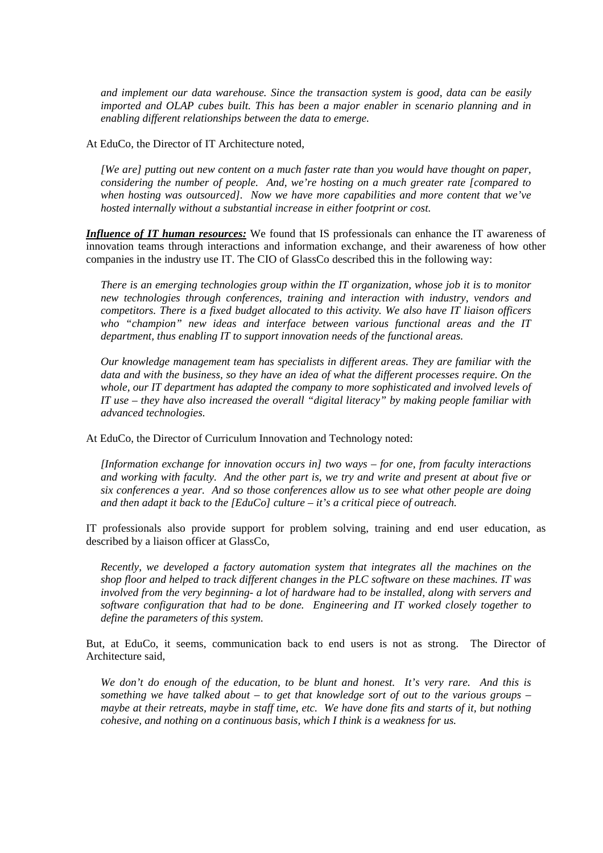*and implement our data warehouse. Since the transaction system is good, data can be easily imported and OLAP cubes built. This has been a major enabler in scenario planning and in enabling different relationships between the data to emerge.*

At EduCo, the Director of IT Architecture noted,

*[We are] putting out new content on a much faster rate than you would have thought on paper, considering the number of people. And, we're hosting on a much greater rate [compared to when hosting was outsourced]. Now we have more capabilities and more content that we've hosted internally without a substantial increase in either footprint or cost.* 

*Influence of IT human resources:* We found that IS professionals can enhance the IT awareness of innovation teams through interactions and information exchange, and their awareness of how other companies in the industry use IT. The CIO of GlassCo described this in the following way:

*There is an emerging technologies group within the IT organization, whose job it is to monitor new technologies through conferences, training and interaction with industry, vendors and competitors. There is a fixed budget allocated to this activity. We also have IT liaison officers who "champion" new ideas and interface between various functional areas and the IT department, thus enabling IT to support innovation needs of the functional areas.* 

*Our knowledge management team has specialists in different areas. They are familiar with the data and with the business, so they have an idea of what the different processes require. On the whole, our IT department has adapted the company to more sophisticated and involved levels of IT use – they have also increased the overall "digital literacy" by making people familiar with advanced technologies.* 

At EduCo, the Director of Curriculum Innovation and Technology noted:

*[Information exchange for innovation occurs in] two ways – for one, from faculty interactions and working with faculty. And the other part is, we try and write and present at about five or six conferences a year. And so those conferences allow us to see what other people are doing and then adapt it back to the [EduCo] culture – it's a critical piece of outreach.* 

IT professionals also provide support for problem solving, training and end user education, as described by a liaison officer at GlassCo,

*Recently, we developed a factory automation system that integrates all the machines on the shop floor and helped to track different changes in the PLC software on these machines. IT was involved from the very beginning- a lot of hardware had to be installed, along with servers and software configuration that had to be done. Engineering and IT worked closely together to define the parameters of this system.* 

But, at EduCo, it seems, communication back to end users is not as strong. The Director of Architecture said,

*We don't do enough of the education, to be blunt and honest. It's very rare. And this is something we have talked about – to get that knowledge sort of out to the various groups – maybe at their retreats, maybe in staff time, etc. We have done fits and starts of it, but nothing cohesive, and nothing on a continuous basis, which I think is a weakness for us.*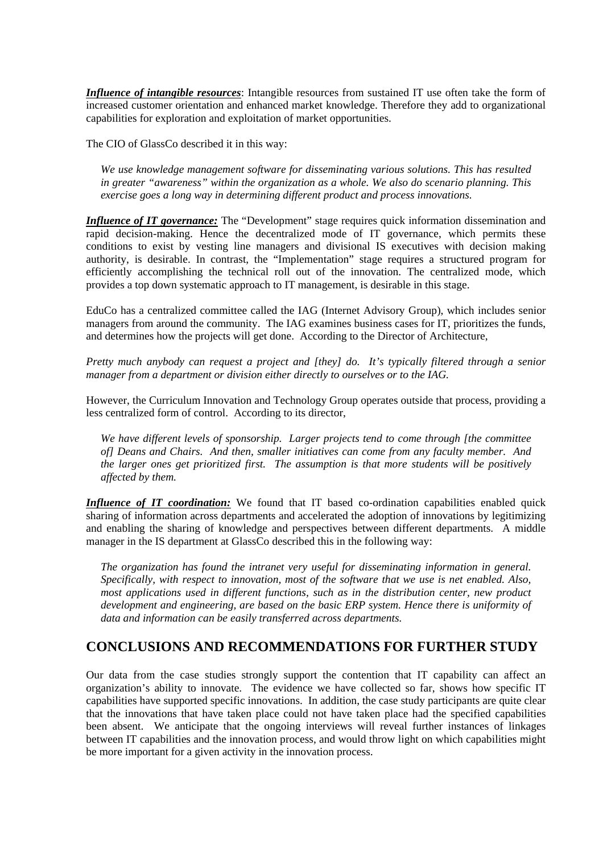*Influence of intangible resources*: Intangible resources from sustained IT use often take the form of increased customer orientation and enhanced market knowledge. Therefore they add to organizational capabilities for exploration and exploitation of market opportunities.

The CIO of GlassCo described it in this way:

*We use knowledge management software for disseminating various solutions. This has resulted in greater "awareness" within the organization as a whole. We also do scenario planning. This exercise goes a long way in determining different product and process innovations.* 

*Influence of IT governance:* The "Development" stage requires quick information dissemination and rapid decision-making. Hence the decentralized mode of IT governance, which permits these conditions to exist by vesting line managers and divisional IS executives with decision making authority, is desirable. In contrast, the "Implementation" stage requires a structured program for efficiently accomplishing the technical roll out of the innovation. The centralized mode, which provides a top down systematic approach to IT management, is desirable in this stage.

EduCo has a centralized committee called the IAG (Internet Advisory Group), which includes senior managers from around the community. The IAG examines business cases for IT, prioritizes the funds, and determines how the projects will get done. According to the Director of Architecture,

*Pretty much anybody can request a project and [they] do. It's typically filtered through a senior manager from a department or division either directly to ourselves or to the IAG.* 

However, the Curriculum Innovation and Technology Group operates outside that process, providing a less centralized form of control. According to its director,

*We have different levels of sponsorship. Larger projects tend to come through [the committee of] Deans and Chairs. And then, smaller initiatives can come from any faculty member. And the larger ones get prioritized first. The assumption is that more students will be positively affected by them.* 

*Influence of IT coordination:* We found that IT based co-ordination capabilities enabled quick sharing of information across departments and accelerated the adoption of innovations by legitimizing and enabling the sharing of knowledge and perspectives between different departments. A middle manager in the IS department at GlassCo described this in the following way:

*The organization has found the intranet very useful for disseminating information in general. Specifically, with respect to innovation, most of the software that we use is net enabled. Also, most applications used in different functions, such as in the distribution center, new product development and engineering, are based on the basic ERP system. Hence there is uniformity of data and information can be easily transferred across departments.* 

## **CONCLUSIONS AND RECOMMENDATIONS FOR FURTHER STUDY**

Our data from the case studies strongly support the contention that IT capability can affect an organization's ability to innovate. The evidence we have collected so far, shows how specific IT capabilities have supported specific innovations. In addition, the case study participants are quite clear that the innovations that have taken place could not have taken place had the specified capabilities been absent. We anticipate that the ongoing interviews will reveal further instances of linkages between IT capabilities and the innovation process, and would throw light on which capabilities might be more important for a given activity in the innovation process.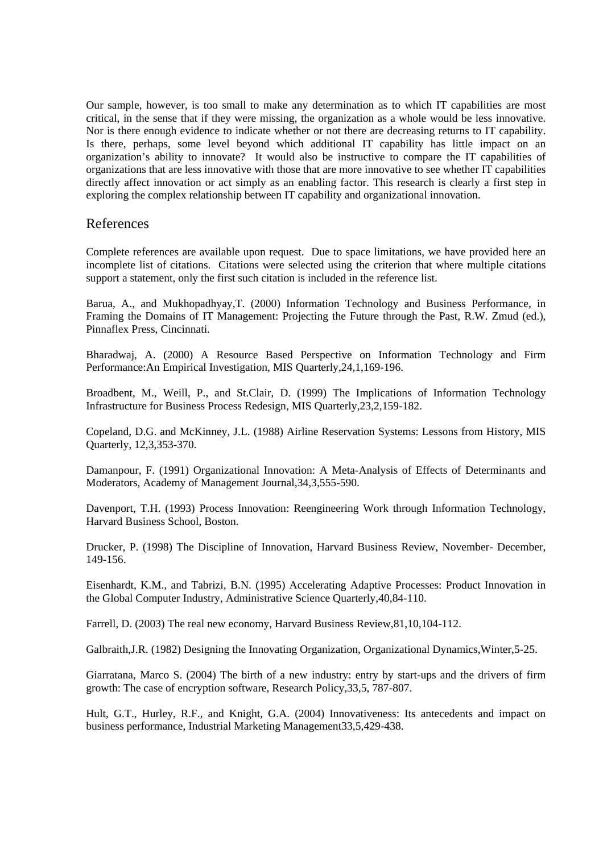Our sample, however, is too small to make any determination as to which IT capabilities are most critical, in the sense that if they were missing, the organization as a whole would be less innovative. Nor is there enough evidence to indicate whether or not there are decreasing returns to IT capability. Is there, perhaps, some level beyond which additional IT capability has little impact on an organization's ability to innovate? It would also be instructive to compare the IT capabilities of organizations that are less innovative with those that are more innovative to see whether IT capabilities directly affect innovation or act simply as an enabling factor. This research is clearly a first step in exploring the complex relationship between IT capability and organizational innovation.

### References

Complete references are available upon request. Due to space limitations, we have provided here an incomplete list of citations. Citations were selected using the criterion that where multiple citations support a statement, only the first such citation is included in the reference list.

Barua, A., and Mukhopadhyay,T. (2000) Information Technology and Business Performance, in Framing the Domains of IT Management: Projecting the Future through the Past, R.W. Zmud (ed.), Pinnaflex Press, Cincinnati.

Bharadwaj, A. (2000) A Resource Based Perspective on Information Technology and Firm Performance:An Empirical Investigation, MIS Quarterly,24,1,169-196.

Broadbent, M., Weill, P., and St.Clair, D. (1999) The Implications of Information Technology Infrastructure for Business Process Redesign, MIS Quarterly,23,2,159-182.

Copeland, D.G. and McKinney, J.L. (1988) Airline Reservation Systems: Lessons from History, MIS Quarterly, 12,3,353-370.

Damanpour, F. (1991) Organizational Innovation: A Meta-Analysis of Effects of Determinants and Moderators, Academy of Management Journal,34,3,555-590.

Davenport, T.H. (1993) Process Innovation: Reengineering Work through Information Technology, Harvard Business School, Boston.

Drucker, P. (1998) The Discipline of Innovation, Harvard Business Review, November- December, 149-156.

Eisenhardt, K.M., and Tabrizi, B.N. (1995) Accelerating Adaptive Processes: Product Innovation in the Global Computer Industry, Administrative Science Quarterly,40,84-110.

Farrell, D. (2003) The real new economy, Harvard Business Review,81,10,104-112.

Galbraith,J.R. (1982) Designing the Innovating Organization, Organizational Dynamics,Winter,5-25.

Giarratana, Marco S. (2004) The birth of a new industry: entry by start-ups and the drivers of firm growth: The case of encryption software, Research Policy,33,5, 787-807.

Hult, G.T., Hurley, R.F., and Knight, G.A. (2004) Innovativeness: Its antecedents and impact on business performance, Industrial Marketing Management33,5,429-438.